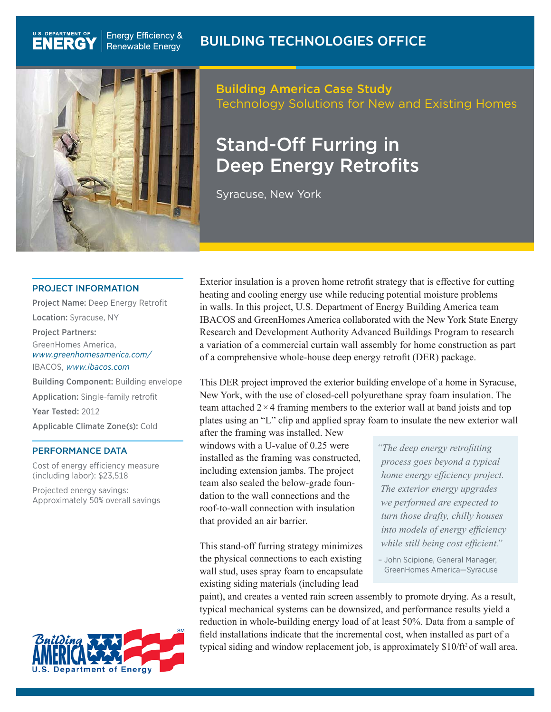

**Energy Efficiency &** Renewable Energy

U.S. DEPARTMENT OF

## Building America Case Study Technology Solutions for New and Existing Homes

# Stand-Off Furring in Deep Energy Retrofits

Syracuse, New York

#### PROJECT INFORMATION

Project Name: Deep Energy Retrofit Location: Syracuse, NY Project Partners: GreenHomes America, *[www.greenhomesamerica.com/](http://www.greenhomesamerica.com/)* IBACOS, *[www.ibacos.com](http://www.ibacos.com)* Building Component: Building envelope Application: Single-family retrofit Year Tested: 2012 Applicable Climate Zone(s): Cold

#### PERFORMANCE DATA

Cost of energy efficiency measure (including labor): \$23,518

Projected energy savings: Approximately 50% overall savings



Exterior insulation is a proven home retrofit strategy that is effective for cutting heating and cooling energy use while reducing potential moisture problems in walls. In this project, U.S. Department of Energy Building America team IBACOS and GreenHomes America collaborated with the New York State Energy Research and Development Authority Advanced Buildings Program to research a variation of a commercial curtain wall assembly for home construction as part of a comprehensive whole-house deep energy retrofit (DER) package.

This DER project improved the exterior building envelope of a home in Syracuse, New York, with the use of closed-cell polyurethane spray foam insulation. The team attached  $2 \times 4$  framing members to the exterior wall at band joists and top plates using an "L" clip and applied spray foam to insulate the new exterior wall

after the framing was installed. New windows with a U-value of 0.25 were installed as the framing was constructed, including extension jambs. The project team also sealed the below-grade foundation to the wall connections and the roof-to-wall connection with insulation that provided an air barrier.

This stand-off furring strategy minimizes the physical connections to each existing wall stud, uses spray foam to encapsulate existing siding materials (including lead

*"The deep energy retrofitting process goes beyond a typical home energy efficiency project. The exterior energy upgrades we performed are expected to turn those drafty, chilly houses into models of energy efficiency while still being cost efficient."*

– John Scipione, General Manager, GreenHomes America—Syracuse

paint), and creates a vented rain screen assembly to promote drying. As a result, typical mechanical systems can be downsized, and performance results yield a reduction in whole-building energy load of at least 50%. Data from a sample of field installations indicate that the incremental cost, when installed as part of a typical siding and window replacement job, is approximately \$10/ft<sup>2</sup> of wall area.